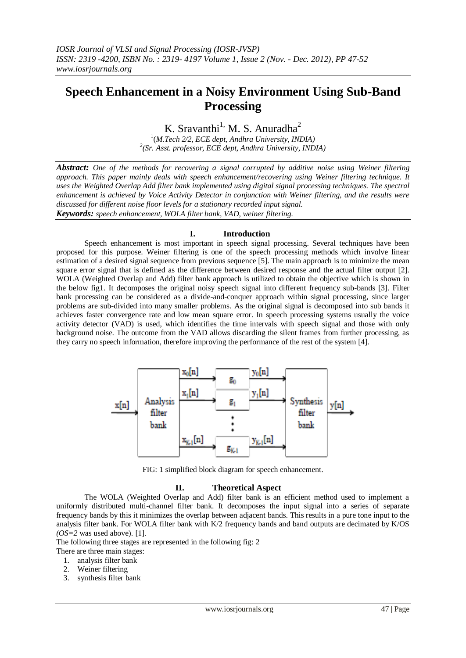# **Speech Enhancement in a Noisy Environment Using Sub-Band Processing**

## K. Sravanthi<sup>1,</sup> M. S. Anuradha<sup>2</sup>

1 (*M.Tech 2/2, ECE dept, Andhra University, INDIA) 2 (Sr. Asst. professor, ECE dept, Andhra University, INDIA)*

*Abstract: One of the methods for recovering a signal corrupted by additive noise using Weiner filtering approach. This paper mainly deals with speech enhancement/recovering using Weiner filtering technique. It uses the Weighted Overlap Add filter bank implemented using digital signal processing techniques. The spectral enhancement is achieved by Voice Activity Detector in conjunction with Weiner filtering, and the results were discussed for different noise floor levels for a stationary recorded input signal. Keywords: speech enhancement, WOLA filter bank, VAD, weiner filtering.*

### **I. Introduction**

Speech enhancement is most important in speech signal processing. Several techniques have been proposed for this purpose. Weiner filtering is one of the speech processing methods which involve linear estimation of a desired signal sequence from previous sequence [5]. The main approach is to minimize the mean square error signal that is defined as the difference between desired response and the actual filter output [2]. WOLA (Weighted Overlap and Add) filter bank approach is utilized to obtain the objective which is shown in the below fig1. It decomposes the original noisy speech signal into different frequency sub-bands [3]. Filter bank processing can be considered as a divide-and-conquer approach within signal processing, since larger problems are sub-divided into many smaller problems. As the original signal is decomposed into sub bands it achieves faster convergence rate and low mean square error. In speech processing systems usually the voice activity detector (VAD) is used, which identifies the time intervals with speech signal and those with only background noise. The outcome from the VAD allows discarding the silent frames from further processing, as they carry no speech information, therefore improving the performance of the rest of the system [4].



FIG: 1 simplified block diagram for speech enhancement.

### **II. Theoretical Aspect**

The WOLA (Weighted Overlap and Add) filter bank is an efficient method used to implement a uniformly distributed multi-channel filter bank. It decomposes the input signal into a series of separate frequency bands by this it minimizes the overlap between adjacent bands. This results in a pure tone input to the analysis filter bank. For WOLA filter bank with K/2 frequency bands and band outputs are decimated by K/OS *(OS=2* was used above). [1].

The following three stages are represented in the following fig: 2

There are three main stages:

- 1. analysis filter bank
- 2. Weiner filtering
- 3. synthesis filter bank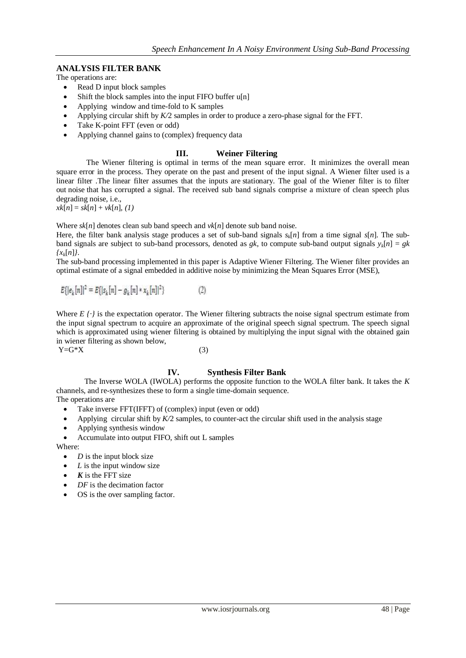### **ANALYSIS FILTER BANK**

The operations are:

- Read D input block samples
- Shift the block samples into the input FIFO buffer u[n]
- Applying window and time-fold to K samples
- Applying circular shift by *K/*2 samples in order to produce a zero-phase signal for the FFT.
- Take K-point FFT (even or odd)
- Applying channel gains to (complex) frequency data

#### **III. Weiner Filtering**

The Wiener filtering is optimal in terms of the mean square error. It minimizes the overall mean square error in the process. They operate on the past and present of the input signal. A Wiener filter used is a linear filter .The linear filter assumes that the inputs are [stationary.](http://en.wikipedia.org/wiki/Stationary_process) The goal of the Wiener filter is to filter out [noise](http://en.wikipedia.org/wiki/Noise) that has corrupted a signal. The received sub band signals comprise a mixture of clean speech plus degrading noise, i.e.,

 $xk[n] = sk[n] + vk[n], (1)$ 

Where  $sk[n]$  denotes clean sub band speech and  $vk[n]$  denote sub band noise.

Here, the filter bank analysis stage produces a set of sub-band signals  $s_k[n]$  from a time signal  $s[n]$ . The subband signals are subject to sub-band processors, denoted as *gk*, to compute sub-band output signals  $y_k[n] = gk$ *{xk*[*n*]*}*.

The sub-band processing implemented in this paper is Adaptive Wiener Filtering. The Wiener filter provides an optimal estimate of a signal embedded in additive noise by minimizing the Mean Squares Error (MSE),

$$
E\{ |e_k[n]|^2 = E\{ |s_k[n] - g_k[n] * x_k[n]|^2 \}
$$
 (2)

Where  $E / \cdot j$  is the expectation operator. The Wiener filtering subtracts the noise signal spectrum estimate from the input signal spectrum to acquire an approximate of the original speech signal spectrum. The speech signal which is approximated using wiener filtering is obtained by multiplying the input signal with the obtained gain in wiener filtering as shown below,  $Y=G^*X$  (3)

### **IV. Synthesis Filter Bank**

The Inverse WOLA (IWOLA) performs the opposite function to the WOLA filter bank. It takes the *K*  channels, and re-synthesizes these to form a single time-domain sequence. The operations are

- Take inverse FFT(IFFT) of (complex) input (even or odd)
- Applying circular shift by  $K/2$  samples, to counter-act the circular shift used in the analysis stage
- Applying synthesis window
- Accumulate into output FIFO, shift out L samples

Where:

- *D* is the input block size
- *L* is the input window size
- *K* is the FFT size
- *DF* is the decimation factor
- OS is the over sampling factor.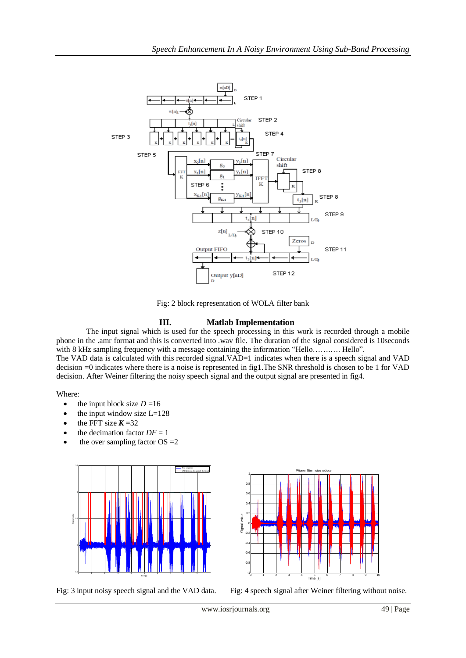

Fig: 2 block representation of WOLA filter bank

## **III. Matlab Implementation**

The input signal which is used for the speech processing in this work is recorded through a mobile phone in the .amr format and this is converted into .wav file. The duration of the signal considered is 10seconds with 8 kHz sampling frequency with a message containing the information "Hello…….…. Hello".

The VAD data is calculated with this recorded signal.VAD=1 indicates when there is a speech signal and VAD decision =0 indicates where there is a noise is represented in fig1.The SNR threshold is chosen to be 1 for VAD decision. After Weiner filtering the noisy speech signal and the output signal are presented in fig4.

#### Where:

- $\bullet$  the input block size  $D = 16$
- the input window size L=128
- the FFT size  $K = 32$
- the decimation factor  $DF = 1$
- the over sampling factor  $OS = 2$







Fig: 3 input noisy speech signal and the VAD data. Fig: 4 speech signal after Weiner filtering without noise.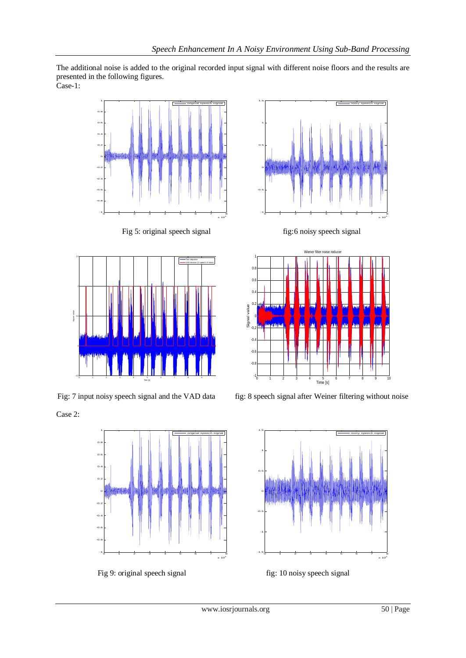The additional noise is added to the original recorded input signal with different noise floors and the results are presented in the following figures. Case-1:



Fig 5: original speech signal fig:6 noisy speech signal fig:6 noisy speech signal



Case 2:



Fig 9: original speech signal fig: 10 noisy speech signal





Fig: 7 input noisy speech signal and the VAD data fig: 8 speech signal after Weiner filtering without noise

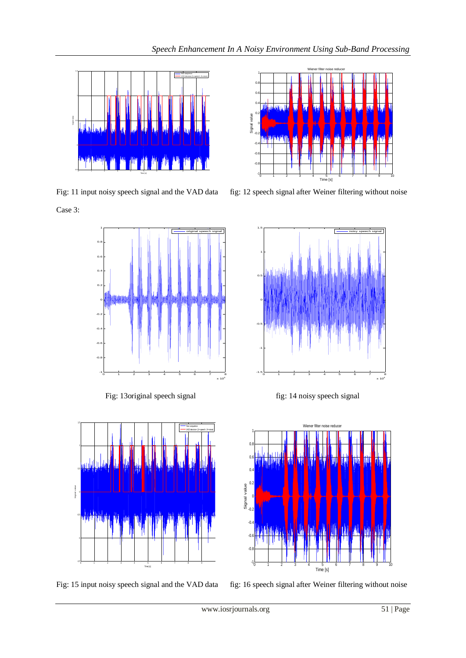



<sup>0</sup> <sup>1</sup> <sup>2</sup> <sup>3</sup> <sup>4</sup> <sup>5</sup> <sup>6</sup> <sup>7</sup> <sup>8</sup> <sup>9</sup> <sup>10</sup> -1

Wiener filter noise reducer

Case 3:



Fig: 13original speech signal fig: 14 noisy speech signal









Time [s] Signal value

 $-0.8$  $-0.6$  $\overline{a}$  $-0.2$  $0<sub>1</sub>$  $0.2$  $0.4$  $0.6$ -0.8  $1 -$